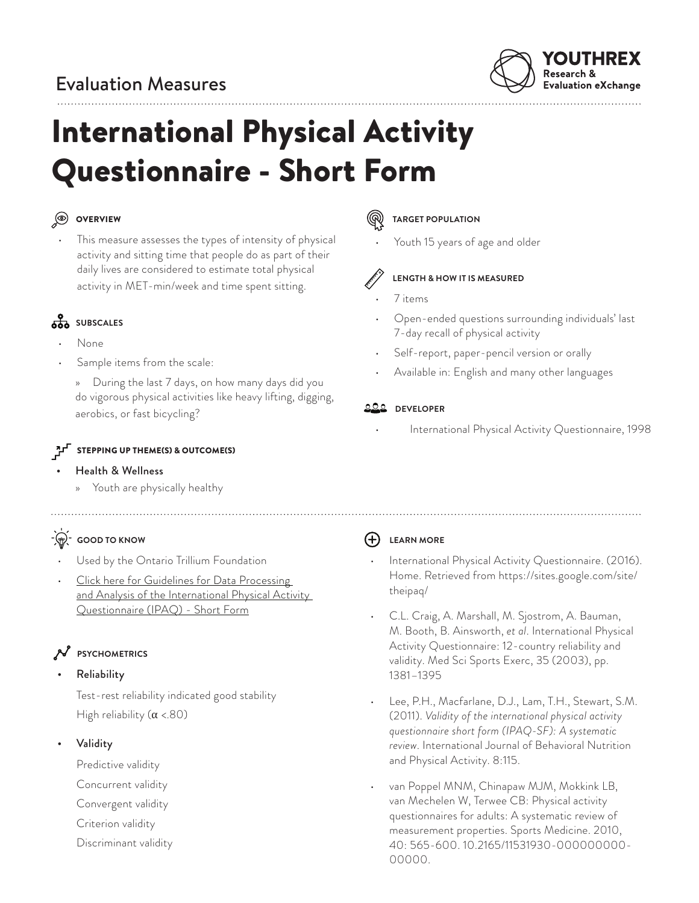# Evaluation Measures



# International Physical Activity Questionnaire - Short Form

## OVERVIEW

- 
- This measure assesses the types of intensity of physical activity and sitting time that people do as part of their daily lives are considered to estimate total physical activity in MET-min/week and time spent sitting.

# **SOBSCALES**

- None
- Sample items from the scale:

» During the last 7 days, on how many days did you do vigorous physical activities like heavy lifting, digging, aerobics, or fast bicycling?

### STEPPING UP THEME(S) & OUTCOME(S)

### • Health & Wellness

» Youth are physically healthy

# **P**: GOOD TO KNOW

- Used by the Ontario Trillium Foundation
- [Click here for Guidelines for Data Processing](http://www.institutferran.org/documentos/scoring_short_ipaq_april04.pdf)  and Analysis of the International Physical Activity [Questionnaire \(IPAQ\) - Short Form](http://www.institutferran.org/documentos/scoring_short_ipaq_april04.pdf)

### **PSYCHOMETRICS**

### • Reliability

Test-rest reliability indicated good stability High reliability  $(\alpha < 80)$ 

• Validity

Predictive validity

- Concurrent validity
- Convergent validity
- Criterion validity
- Discriminant validity

### **TARGET POPULATION**

Youth 15 years of age and older



### **LENGTH & HOW IT IS MEASURED**

### • 7 items

- Open-ended questions surrounding individuals' last 7-day recall of physical activity
- Self-report, paper-pencil version or orally
- Available in: English and many other languages

### **DEVELOPER**

International Physical Activity Questionnaire, 1998

### **LEARN MORE**

- International Physical Activity Questionnaire. (2016). Home. Retrieved from https://sites.google.com/site/ theipaq/
- C.L. Craig, A. Marshall, M. Sjostrom, A. Bauman, M. Booth, B. Ainsworth, *et al*. International Physical Activity Questionnaire: 12-country reliability and validity. Med Sci Sports Exerc, 35 (2003), pp. 1381–1395
- Lee, P.H., Macfarlane, D.J., Lam, T.H., Stewart, S.M. (2011). *Validity of the international physical activity questionnaire short form (IPAQ-SF): A systematic review*. International Journal of Behavioral Nutrition and Physical Activity. 8:115.
- van Poppel MNM, Chinapaw MJM, Mokkink LB, van Mechelen W, Terwee CB: Physical activity questionnaires for adults: A systematic review of measurement properties. Sports Medicine. 2010, 40: 565-600. 10.2165/11531930-000000000- 00000.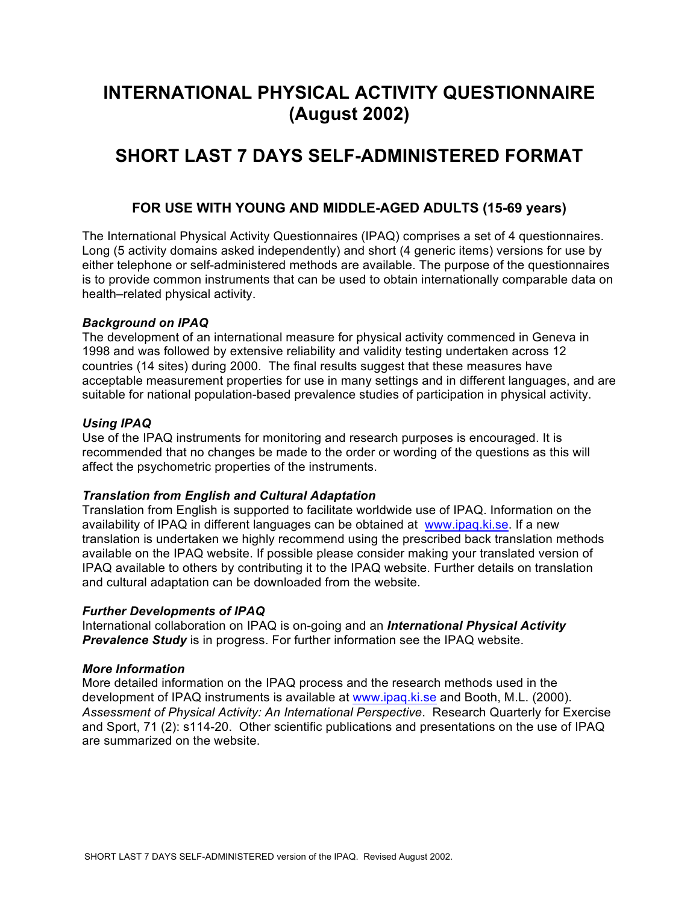# **INTERNATIONAL PHYSICAL ACTIVITY QUESTIONNAIRE (August 2002)**

# **SHORT LAST 7 DAYS SELF-ADMINISTERED FORMAT**

### **FOR USE WITH YOUNG AND MIDDLE-AGED ADULTS (15-69 years)**

The International Physical Activity Questionnaires (IPAQ) comprises a set of 4 questionnaires. Long (5 activity domains asked independently) and short (4 generic items) versions for use by either telephone or self-administered methods are available. The purpose of the questionnaires is to provide common instruments that can be used to obtain internationally comparable data on health–related physical activity.

### *Background on IPAQ*

The development of an international measure for physical activity commenced in Geneva in 1998 and was followed by extensive reliability and validity testing undertaken across 12 countries (14 sites) during 2000. The final results suggest that these measures have acceptable measurement properties for use in many settings and in different languages, and are suitable for national population-based prevalence studies of participation in physical activity.

### *Using IPAQ*

Use of the IPAQ instruments for monitoring and research purposes is encouraged. It is recommended that no changes be made to the order or wording of the questions as this will affect the psychometric properties of the instruments.

### *Translation from English and Cultural Adaptation*

Translation from English is supported to facilitate worldwide use of IPAQ. Information on the availability of IPAQ in different languages can be obtained at www.ipaq.ki.se. If a new translation is undertaken we highly recommend using the prescribed back translation methods available on the IPAQ website. If possible please consider making your translated version of IPAQ available to others by contributing it to the IPAQ website. Further details on translation and cultural adaptation can be downloaded from the website.

### *Further Developments of IPAQ*

International collaboration on IPAQ is on-going and an *International Physical Activity*  **Prevalence Study** is in progress. For further information see the IPAQ website.

### *More Information*

More detailed information on the IPAQ process and the research methods used in the development of IPAQ instruments is available at www.ipaq.ki.se and Booth, M.L. (2000). *Assessment of Physical Activity: An International Perspective*. Research Quarterly for Exercise and Sport, 71 (2): s114-20. Other scientific publications and presentations on the use of IPAQ are summarized on the website.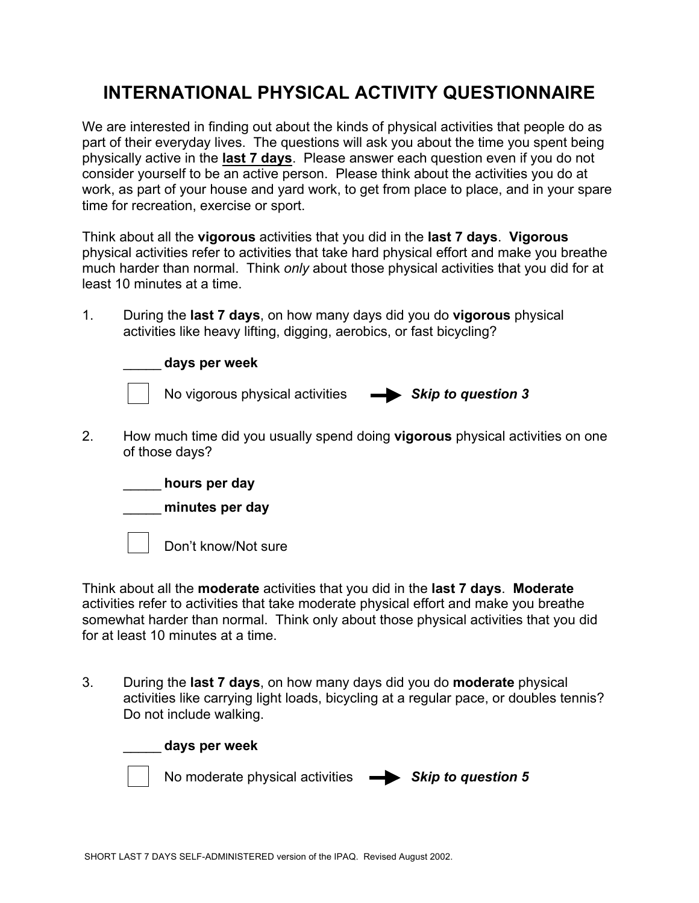# **INTERNATIONAL PHYSICAL ACTIVITY QUESTIONNAIRE**

We are interested in finding out about the kinds of physical activities that people do as part of their everyday lives. The questions will ask you about the time you spent being physically active in the **last 7 days**. Please answer each question even if you do not consider yourself to be an active person. Please think about the activities you do at work, as part of your house and yard work, to get from place to place, and in your spare time for recreation, exercise or sport.

Think about all the **vigorous** activities that you did in the **last 7 days**. **Vigorous** physical activities refer to activities that take hard physical effort and make you breathe much harder than normal. Think *only* about those physical activities that you did for at least 10 minutes at a time.

1. During the **last 7 days**, on how many days did you do **vigorous** physical activities like heavy lifting, digging, aerobics, or fast bicycling?



2. How much time did you usually spend doing **vigorous** physical activities on one of those days?



Think about all the **moderate** activities that you did in the **last 7 days**. **Moderate** activities refer to activities that take moderate physical effort and make you breathe somewhat harder than normal. Think only about those physical activities that you did for at least 10 minutes at a time.

3. During the **last 7 days**, on how many days did you do **moderate** physical activities like carrying light loads, bicycling at a regular pace, or doubles tennis? Do not include walking.